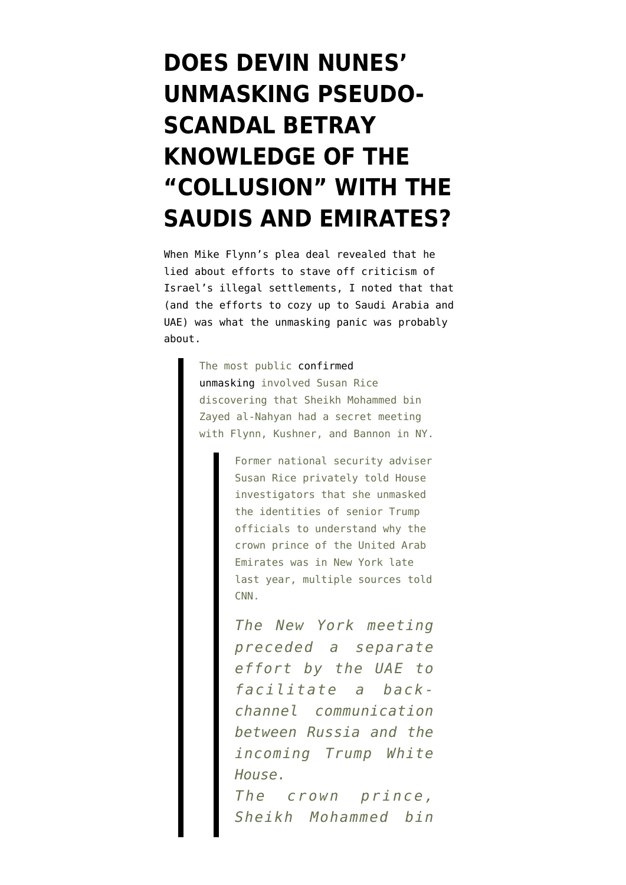## **[DOES DEVIN NUNES'](https://www.emptywheel.net/2018/05/19/did-nunes-unmasking-panic-betray-knowledge-of-the-collusion-with-the-saudis-and-emirates/) [UNMASKING PSEUDO-](https://www.emptywheel.net/2018/05/19/did-nunes-unmasking-panic-betray-knowledge-of-the-collusion-with-the-saudis-and-emirates/)[SCANDAL BETRAY](https://www.emptywheel.net/2018/05/19/did-nunes-unmasking-panic-betray-knowledge-of-the-collusion-with-the-saudis-and-emirates/) [KNOWLEDGE OF THE](https://www.emptywheel.net/2018/05/19/did-nunes-unmasking-panic-betray-knowledge-of-the-collusion-with-the-saudis-and-emirates/) ["COLLUSION" WITH THE](https://www.emptywheel.net/2018/05/19/did-nunes-unmasking-panic-betray-knowledge-of-the-collusion-with-the-saudis-and-emirates/) [SAUDIS AND EMIRATES?](https://www.emptywheel.net/2018/05/19/did-nunes-unmasking-panic-betray-knowledge-of-the-collusion-with-the-saudis-and-emirates/)**

When Mike Flynn's plea deal revealed that he lied about efforts to stave off criticism of Israel's illegal settlements, I [noted](https://www.emptywheel.net/2017/12/02/the-unmasking-story-and-the-flynn-plea/) that that (and the efforts to cozy up to Saudi Arabia and UAE) was what the unmasking panic was probably about.

> The most public [confirmed](http://www.cnn.com/2017/09/13/politics/susan-rice-house-investigators-unmasked-trump-officials/index.html) [unmasking](http://www.cnn.com/2017/09/13/politics/susan-rice-house-investigators-unmasked-trump-officials/index.html) involved Susan Rice discovering that Sheikh Mohammed bin Zayed al-Nahyan had a secret meeting with Flynn, Kushner, and Bannon in NY.

> > Former national security adviser Susan Rice privately told House investigators that she unmasked the identities of senior Trump officials to understand why the crown prince of the United Arab Emirates was in New York late last year, multiple sources told CNN.

*The New York meeting preceded a separate effort by the UAE to facilitate a backchannel communication between Russia and the incoming Trump White House.*

*The crown prince, Sheikh Mohammed bin*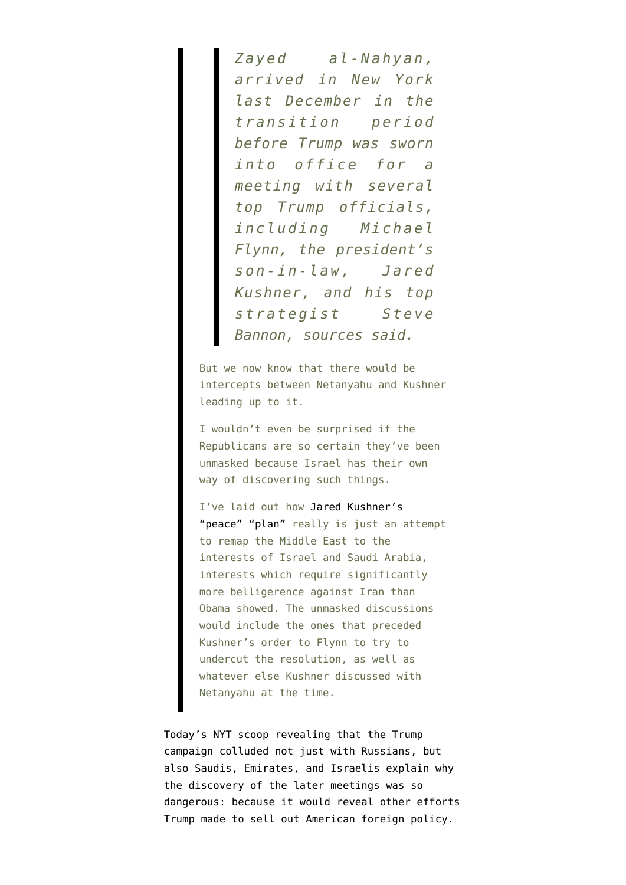*Zayed al-Nahyan, arrived in New York last December in the transition period before Trump was sworn into office for a meeting with several top Trump officials, including Michael Flynn, the president's son-in-law, Jared Kushner, and his top strategist Steve Bannon, sources said.*

But we now know that there would be intercepts between Netanyahu and Kushner leading up to it.

I wouldn't even be surprised if the Republicans are so certain they've been unmasked because Israel has their own way of discovering such things.

I've laid out how [Jared Kushner's](https://www.emptywheel.net/2017/05/28/what-would-jared-kushner-middle-east-peace-look-like/) ["peace" "plan"](https://www.emptywheel.net/2017/05/28/what-would-jared-kushner-middle-east-peace-look-like/) really is just an attempt to remap the Middle East to the interests of Israel and Saudi Arabia, interests which require significantly more belligerence against Iran than Obama showed. The unmasked discussions would include the ones that preceded Kushner's order to Flynn to try to undercut the resolution, as well as whatever else Kushner discussed with Netanyahu at the time.

Today's NYT [scoop](https://www.nytimes.com/2018/05/19/us/politics/trump-jr-saudi-uae-nader-prince-zamel.html) revealing that the Trump campaign colluded not just with Russians, but also Saudis, Emirates, and Israelis explain why the discovery of the later meetings was so dangerous: because it would reveal other efforts Trump made to sell out American foreign policy.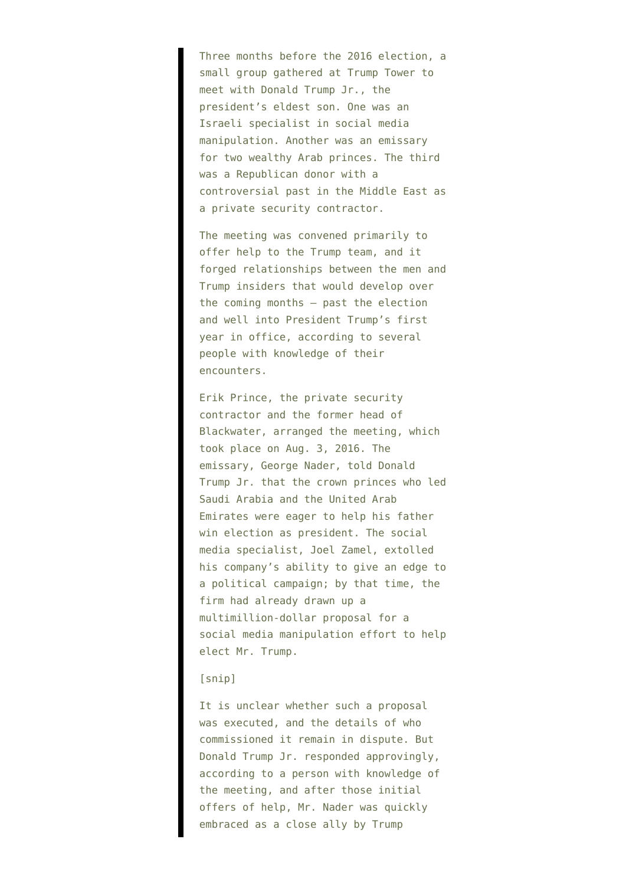Three months before the 2016 election, a small group gathered at Trump Tower to meet with Donald Trump Jr., the president's eldest son. One was an Israeli specialist in social media manipulation. Another was an emissary for two wealthy Arab princes. The third was a Republican donor with a controversial past in the Middle East as a private security contractor.

The meeting was convened primarily to offer help to the Trump team, and it forged relationships between the men and Trump insiders that would develop over the coming months — past the election and well into President Trump's first year in office, according to several people with knowledge of their encounters.

Erik Prince, the private security contractor and the former head of Blackwater, arranged the meeting, which took place on Aug. 3, 2016. The emissary, George Nader, told Donald Trump Jr. that the crown princes who led Saudi Arabia and the United Arab Emirates were eager to help his father win election as president. The social media specialist, Joel Zamel, extolled his company's ability to give an edge to a political campaign; by that time, the firm had already drawn up a multimillion-dollar proposal for a social media manipulation effort to help elect Mr. Trump.

## [snip]

It is unclear whether such a proposal was executed, and the details of who commissioned it remain in dispute. But Donald Trump Jr. responded approvingly, according to a person with knowledge of the meeting, and after those initial offers of help, Mr. Nader was quickly embraced as a close ally by Trump